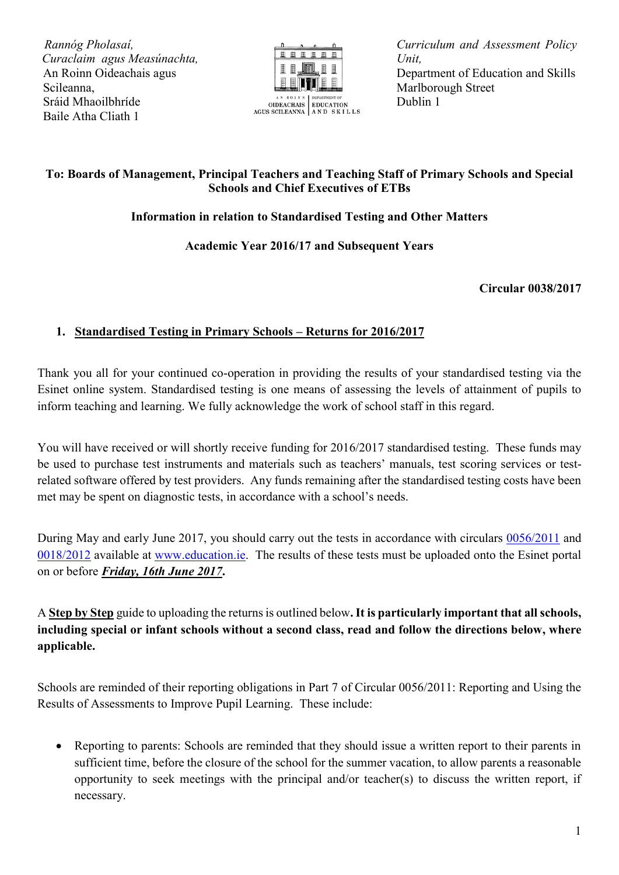*R Rannóg Pholasaí, C Curaclaim agus Measúnachta,* An Roinn Oideachais agus Scileanna, Sráid Mhaoilbhríde Baile Atha Cliath 1



OIDEACHAIS EDUCATION<br>AGUS SCILEANNA AN DSKILLS

*Curriculum and Assessment Policy Unit,* Department of Education and Skills Marlborough Street Dublin 1

## **To: Boards of Management, Principal Teachers and Teaching Staff of Primary Schools and Special Schools and Chief Executives of ETBs**

# **Information in relation to Standardised Testing and Other Matters**

## **Academic Year 2016/17 and Subsequent Years**

#### **Circular 0038/2017**

## **1. Standardised Testing in Primary Schools – Returns for 2016/2017**

Thank you all for your continued co-operation in providing the results of your standardised testing via the Esinet online system. Standardised testing is one means of assessing the levels of attainment of pupils to inform teaching and learning. We fully acknowledge the work of school staff in this regard.

You will have received or will shortly receive funding for 2016/2017 standardised testing. These funds may be used to purchase test instruments and materials such as teachers' manuals, test scoring services or testrelated software offered by test providers. Any funds remaining after the standardised testing costs have been met may be spent on diagnostic tests, in accordance with a school's needs.

During May and early June 2017, you should carry out the tests in accordance with circulars [0056/2011](http://www.education.ie/en/Circulars-and-Forms/Active-Circulars/cl0056_2011.pdf) and [0018/2012](http://www.education.ie/en/Circulars-and-Forms/Active-Circulars/Supporting-Assessment-Standardised-Testing-in-Primary-Schools.pdf) available at [www.education.ie.](http://www.education.ie/) The results of these tests must be uploaded onto the Esinet portal on or before *Friday, 16th June 2017***.** 

A **Step by Step** guide to uploading the returns is outlined below**.It is particularly important that all schools, including special or infant schools without a second class, read and follow the directions below, where applicable.**

Schools are reminded of their reporting obligations in Part 7 of Circular 0056/2011: Reporting and Using the Results of Assessments to Improve Pupil Learning. These include:

• Reporting to parents: Schools are reminded that they should issue a written report to their parents in sufficient time, before the closure of the school for the summer vacation, to allow parents a reasonable opportunity to seek meetings with the principal and/or teacher(s) to discuss the written report, if necessary.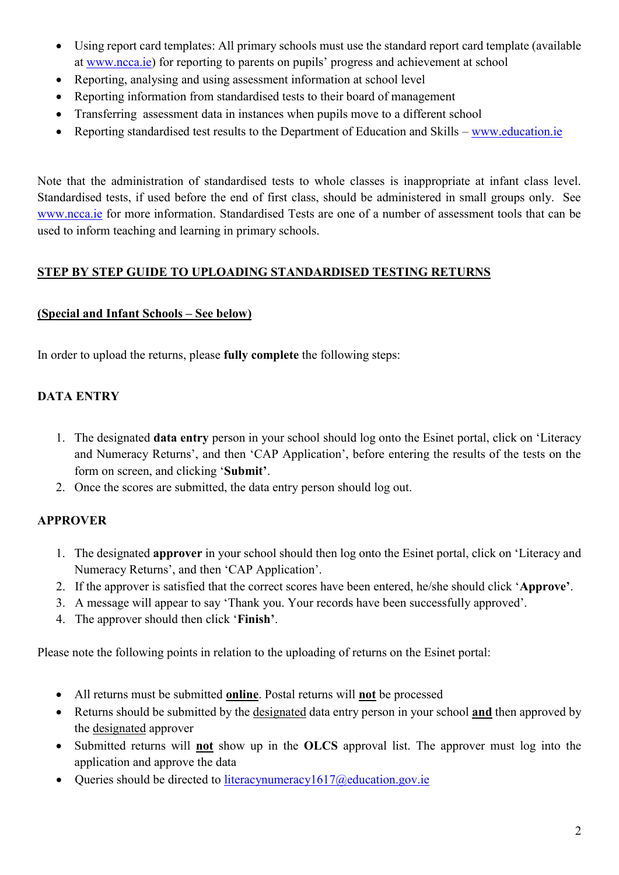- Using report card templates: All primary schools must use the standard report card template (available at [www.ncca.ie](http://www.ncca.ie/)) for reporting to parents on pupils' progress and achievement at school
- Reporting, analysing and using assessment information at school level
- Reporting information from standardised tests to their board of management
- Transferring assessment data in instances when pupils move to a different school
- Reporting standardised test results to the Department of Education and Skills [www.education.ie](http://www.education.ie/)

Note that the administration of standardised tests to whole classes is inappropriate at infant class level. Standardised tests, if used before the end of first class, should be administered in small groups only. See [www.ncca.ie](http://www.ncca.ie/) for more information. Standardised Tests are one of a number of assessment tools that can be used to inform teaching and learning in primary schools.

## **STEP BY STEP GUIDE TO UPLOADING STANDARDISED TESTING RETURNS**

#### **(Special and Infant Schools – See below)**

In order to upload the returns, please **fully complete** the following steps:

# **DATA ENTRY**

- 1. The designated **data entry** person in your school should log onto the Esinet portal, click on 'Literacy and Numeracy Returns', and then 'CAP Application', before entering the results of the tests on the form on screen, and clicking '**Submit'**.
- 2. Once the scores are submitted, the data entry person should log out.

# **APPROVER**

- 1. The designated **approver** in your school should then log onto the Esinet portal, click on 'Literacy and Numeracy Returns', and then 'CAP Application'.
- 2. If the approver is satisfied that the correct scores have been entered, he/she should click '**Approve'**.
- 3. A message will appear to say 'Thank you. Your records have been successfully approved'.
- 4. The approver should then click '**Finish'**.

Please note the following points in relation to the uploading of returns on the Esinet portal:

- All returns must be submitted **online**. Postal returns will **not** be processed
- Returns should be submitted by the designated data entry person in your school **and** then approved by the designated approver
- Submitted returns will **not** show up in the **OLCS** approval list. The approver must log into the application and approve the data
- Oueries should be directed to literacynumeracy $1617$ @education.gov.ie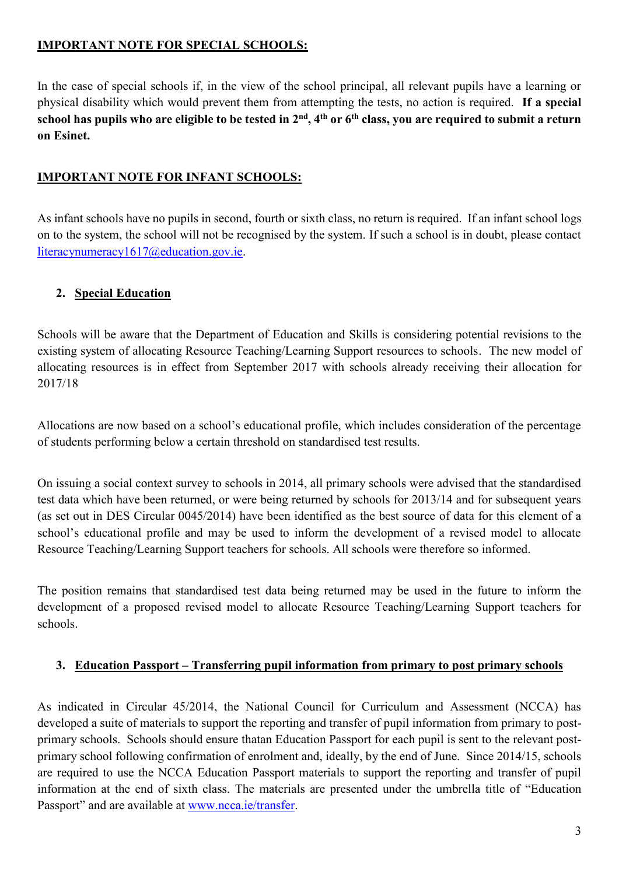#### **IMPORTANT NOTE FOR SPECIAL SCHOOLS:**

In the case of special schools if, in the view of the school principal, all relevant pupils have a learning or physical disability which would prevent them from attempting the tests, no action is required. **If a special school has pupils who are eligible to be tested in 2nd, 4th or 6th class, you are required to submit a return on Esinet.**

#### **IMPORTANT NOTE FOR INFANT SCHOOLS:**

As infant schools have no pupils in second, fourth or sixth class, no return is required. If an infant school logs on to the system, the school will not be recognised by the system. If such a school is in doubt, please contact [literacynumeracy1617@education.gov.ie.](mailto:literacynumeracy1617@education.gov.ie)

# **2. Special Education**

Schools will be aware that the Department of Education and Skills is considering potential revisions to the existing system of allocating Resource Teaching/Learning Support resources to schools. The new model of allocating resources is in effect from September 2017 with schools already receiving their allocation for 2017/18

Allocations are now based on a school's educational profile, which includes consideration of the percentage of students performing below a certain threshold on standardised test results.

On issuing a social context survey to schools in 2014, all primary schools were advised that the standardised test data which have been returned, or were being returned by schools for 2013/14 and for subsequent years (as set out in DES Circular 0045/2014) have been identified as the best source of data for this element of a school's educational profile and may be used to inform the development of a revised model to allocate Resource Teaching/Learning Support teachers for schools. All schools were therefore so informed.

The position remains that standardised test data being returned may be used in the future to inform the development of a proposed revised model to allocate Resource Teaching/Learning Support teachers for schools.

#### **3. Education Passport – Transferring pupil information from primary to post primary schools**

As indicated in Circular 45/2014, the National Council for Curriculum and Assessment (NCCA) has developed a suite of materials to support the reporting and transfer of pupil information from primary to postprimary schools. Schools should ensure thatan Education Passport for each pupil is sent to the relevant postprimary school following confirmation of enrolment and, ideally, by the end of June. Since 2014/15, schools are required to use the NCCA Education Passport materials to support the reporting and transfer of pupil information at the end of sixth class. The materials are presented under the umbrella title of "Education Passport" and are available at [www.ncca.ie/transfer.](http://www.ncca.ie/transfer)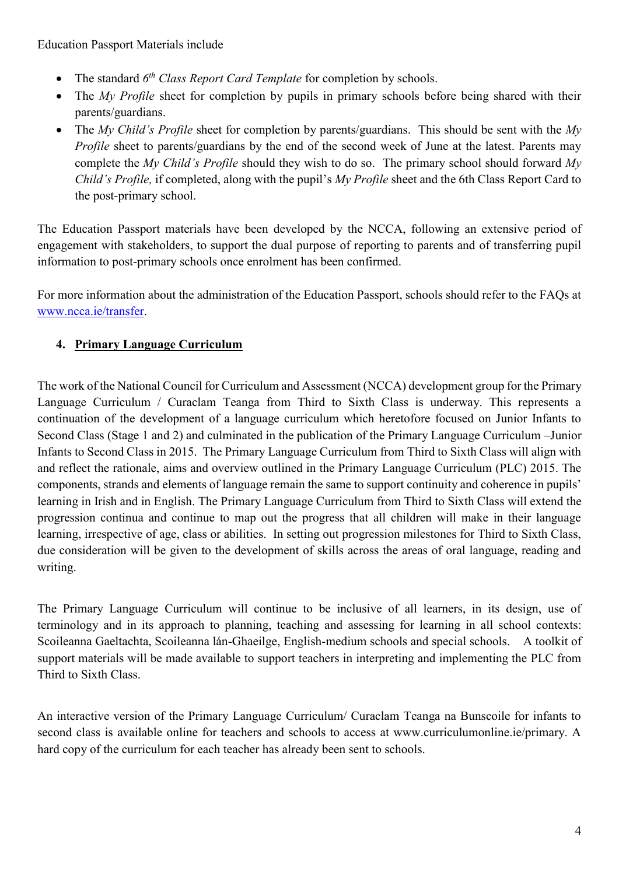- The standard  $6<sup>th</sup> Class Report Card Temple for completion by schools.$
- The *My Profile* sheet for completion by pupils in primary schools before being shared with their parents/guardians.
- The *My Child's Profile* sheet for completion by parents/guardians. This should be sent with the *My Profile* sheet to parents/guardians by the end of the second week of June at the latest. Parents may complete the *My Child's Profile* should they wish to do so. The primary school should forward *My Child's Profile,* if completed, along with the pupil's *My Profile* sheet and the 6th Class Report Card to the post-primary school.

The Education Passport materials have been developed by the NCCA, following an extensive period of engagement with stakeholders, to support the dual purpose of reporting to parents and of transferring pupil information to post-primary schools once enrolment has been confirmed.

For more information about the administration of the Education Passport, schools should refer to the FAQs at [www.ncca.ie/transfer.](http://www.ncca.ie/transfer)

# **4. Primary Language Curriculum**

The work of the National Council for Curriculum and Assessment (NCCA) development group for the Primary Language Curriculum / Curaclam Teanga from Third to Sixth Class is underway. This represents a continuation of the development of a language curriculum which heretofore focused on Junior Infants to Second Class (Stage 1 and 2) and culminated in the publication of the Primary Language Curriculum –Junior Infants to Second Class in 2015. The Primary Language Curriculum from Third to Sixth Class will align with and reflect the rationale, aims and overview outlined in the Primary Language Curriculum (PLC) 2015. The components, strands and elements of language remain the same to support continuity and coherence in pupils' learning in Irish and in English. The Primary Language Curriculum from Third to Sixth Class will extend the progression continua and continue to map out the progress that all children will make in their language learning, irrespective of age, class or abilities. In setting out progression milestones for Third to Sixth Class, due consideration will be given to the development of skills across the areas of oral language, reading and writing.

The Primary Language Curriculum will continue to be inclusive of all learners, in its design, use of terminology and in its approach to planning, teaching and assessing for learning in all school contexts: Scoileanna Gaeltachta, Scoileanna lán-Ghaeilge, English-medium schools and special schools. A toolkit of support materials will be made available to support teachers in interpreting and implementing the PLC from Third to Sixth Class.

An interactive version of the Primary Language Curriculum/ Curaclam Teanga na Bunscoile for infants to second class is available online for teachers and schools to access at www.curriculumonline.ie/primary. A hard copy of the curriculum for each teacher has already been sent to schools.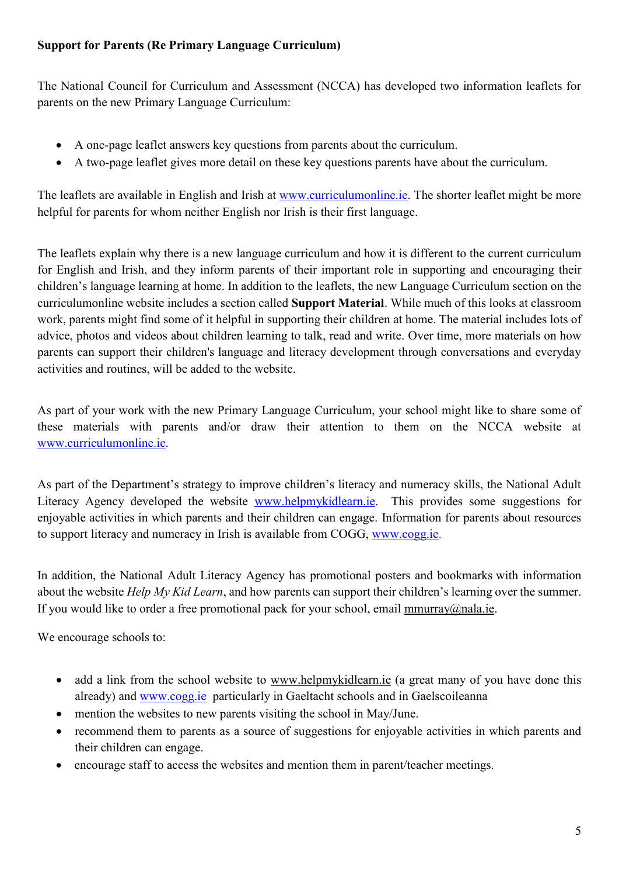#### **Support for Parents (Re Primary Language Curriculum)**

The National Council for Curriculum and Assessment (NCCA) has developed two information leaflets for parents on the new Primary Language Curriculum:

- [A one-page leaflet](http://curriculumonline.ie/getmedia/96b88c3e-0047-40df-b02b-e64422051d32/Primary-Language-Curriculum_Parents_1-page.pdf) answers key questions from parents about the curriculum.
- [A two-page leaflet](http://curriculumonline.ie/getmedia/78ac7ab5-0efc-4efb-9bd7-77d25d45bf9f/Primary-Language-Curriculum_Parents_2-pages.pdf) gives more detail on these key questions parents have about the curriculum.

The leaflets are available in English and Irish at [www.curriculumonline.ie.](http://www.curriculumonline.ie/) The shorter leaflet might be more helpful for parents for whom neither English nor Irish is their first language.

The leaflets explain why there is a new language curriculum and how it is different to the current curriculum for English and Irish, and they inform parents of their important role in supporting and encouraging their children's language learning at home. In addition to the leaflets, the new Language Curriculum section on the curriculumonline website includes a section called **Support Material**. While much of this looks at classroom work, parents might find some of it helpful in supporting their children at home. The material includes lots of advice, photos and videos about children learning to talk, read and write. Over time, more materials on how parents can support their children's language and literacy development through conversations and everyday activities and routines, will be added to the website.

As part of your work with the new Primary Language Curriculum, your school might like to share some of these materials with parents and/or draw their attention to them on the NCCA website at [www.curriculumonline.ie.](http://www.curriculumonline.ie/)

As part of the Department's strategy to improve children's literacy and numeracy skills, the National Adult Literacy Agency developed the website [www.helpmykidlearn.ie.](http://www.helpmykidlearn.ie/) This provides some suggestions for enjoyable activities in which parents and their children can engage. Information for parents about resources to support literacy and numeracy in Irish is available from COGG, [www.cogg.ie.](http://www.cogg.ie/)

In addition, the National Adult Literacy Agency has promotional posters and bookmarks with information about the website *Help My Kid Learn*, and how parents can support their children's learning over the summer. If you would like to order a free promotional pack for your school, email [mmurray@nala.ie.](mailto:mmurray@nala.ie)

We encourage schools to:

- add a link from the school website to [www.helpmykidlearn.ie](http://www.helpmykidlearn.ie/) (a great many of you have done this already) and [www.cogg.ie](http://www.cogg.ie/) particularly in Gaeltacht schools and in Gaelscoileanna
- mention the websites to new parents visiting the school in May/June.
- recommend them to parents as a source of suggestions for enjoyable activities in which parents and their children can engage.
- encourage staff to access the websites and mention them in parent/teacher meetings.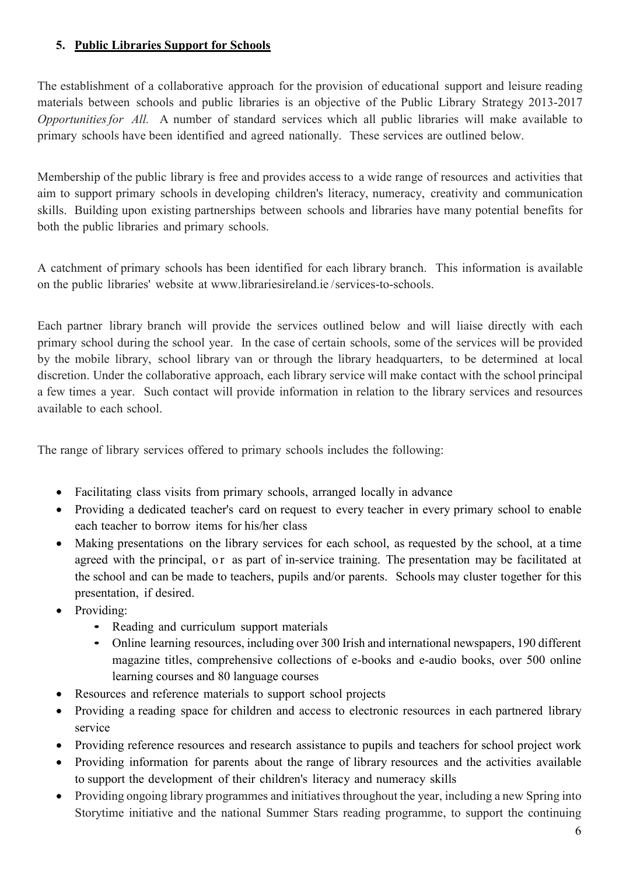#### **5. Public Libraries Support for Schools**

The establishment of a collaborative approach for the provision of educational support and leisure reading materials between schools and public libraries is an objective of the Public Library Strategy 2013-2017 *Opportunitiesfor All.* A number of standard services which all public libraries will make available to primary schools have been identified and agreed nationally. These services are outlined below.

Membership of the public library is free and provides access to a wide range of resources and activities that aim to support primary schools in developing children's literacy, numeracy, creativity and communication skills. Building upon existing partnerships between schools and libraries have many potential benefits for both the public libraries and primary schools.

A catchment of primary schools has been identified for each library branch. This information is available on the public libraries' website at [www.librariesireland.ie](http://www.librariesireland.ie/) /services-to-schools.

Each partner library branch will provide the services outlined below and will liaise directly with each primary school during the school year. In the case of certain schools, some of the services will be provided by the mobile library, school library van or through the library headquarters, to be determined at local discretion. Under the collaborative approach, each library service will make contact with the school principal a few times a year. Such contact will provide information in relation to the library services and resources available to each school.

The range of library services offered to primary schools includes the following:

- Facilitating class visits from primary schools, arranged locally in advance
- Providing a dedicated teacher's card on request to every teacher in every primary school to enable each teacher to borrow items for his/her class
- Making presentations on the library services for each school, as requested by the school, at a time agreed with the principal, or as part of in-service training. The presentation may be facilitated at the school and can be made to teachers, pupils and/or parents. Schools may cluster together for this presentation, if desired.
- Providing:
	- Reading and curriculum support materials
	- Online learning resources, including over 300 Irish and international newspapers, 190 different magazine titles, comprehensive collections of e-books and e-audio books, over 500 online learning courses and 80 language courses
- Resources and reference materials to support school projects
- Providing a reading space for children and access to electronic resources in each partnered library service
- Providing reference resources and research assistance to pupils and teachers for school project work
- Providing information for parents about the range of library resources and the activities available to support the development of their children's literacy and numeracy skills
- Providing ongoing library programmes and initiatives throughout the year, including a new Spring into Storytime initiative and the national Summer Stars reading programme, to support the continuing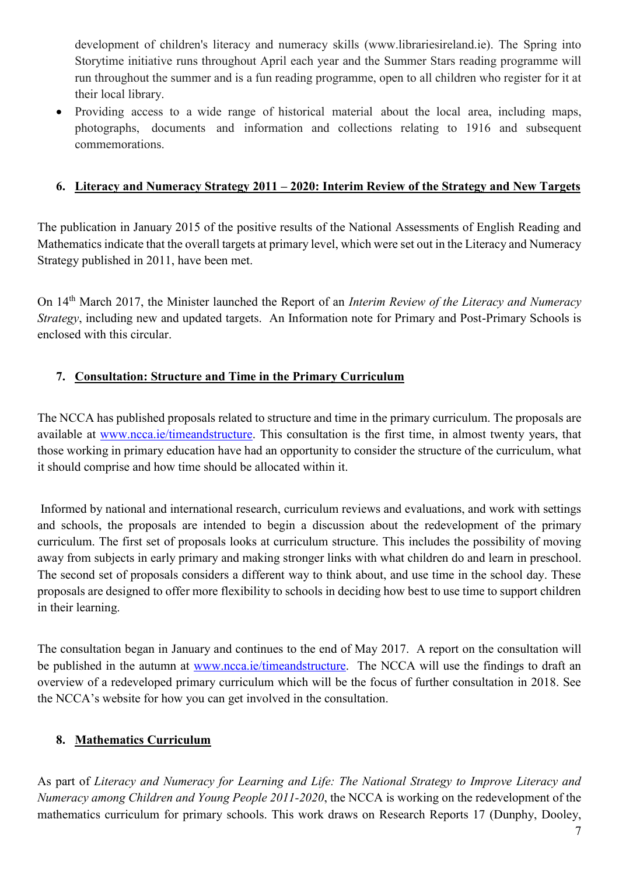development of children's literacy and numeracy skills (www.librariesireland.ie). The Spring into Storytime initiative runs throughout April each year and the Summer Stars reading programme will run throughout the summer and is a fun reading programme, open to all children who register for it at their local library.

 Providing access to a wide range of historical material about the local area, including maps, photographs, documents and information and collections relating to 1916 and subsequent commemorations.

#### **6. Literacy and Numeracy Strategy 2011 – 2020: Interim Review of the Strategy and New Targets**

The publication in January 2015 of the positive results of the National Assessments of English Reading and Mathematics indicate that the overall targets at primary level, which were set out in the Literacy and Numeracy Strategy published in 2011, have been met.

On 14th March 2017, the Minister launched the Report of an *Interim Review of the Literacy and Numeracy Strategy*, including new and updated targets. An Information note for Primary and Post-Primary Schools is enclosed with this circular.

#### **7. Consultation: Structure and Time in the Primary Curriculum**

The NCCA has published proposals related to structure and time in the primary curriculum. The proposals are available at [www.ncca.ie/timeandstructure.](http://www.ncca.ie/timeandstructure) This consultation is the first time, in almost twenty years, that those working in primary education have had an opportunity to consider the structure of the curriculum, what it should comprise and how time should be allocated within it.

Informed by national and international research, curriculum reviews and evaluations, and work with settings and schools, the proposals are intended to begin a discussion about the redevelopment of the primary curriculum. The first set of proposals looks at curriculum structure. This includes the possibility of moving away from subjects in early primary and making stronger links with what children do and learn in preschool. The second set of proposals considers a different way to think about, and use time in the school day. These proposals are designed to offer more flexibility to schools in deciding how best to use time to support children in their learning.

The consultation began in January and continues to the end of May 2017. A report on the consultation will be published in the autumn at [www.ncca.ie/timeandstructure.](http://www.ncca.ie/timeandstructure) The NCCA will use the findings to draft an overview of a redeveloped primary curriculum which will be the focus of further consultation in 2018. See the NCCA's website for how you can get involved in the consultation.

#### **8. Mathematics Curriculum**

As part of *Literacy and Numeracy for Learning and Life: The National Strategy to Improve Literacy and Numeracy among Children and Young People 2011-2020*, the NCCA is working on the redevelopment of the mathematics curriculum for primary schools. This work draws on Research Reports 17 (Dunphy, Dooley,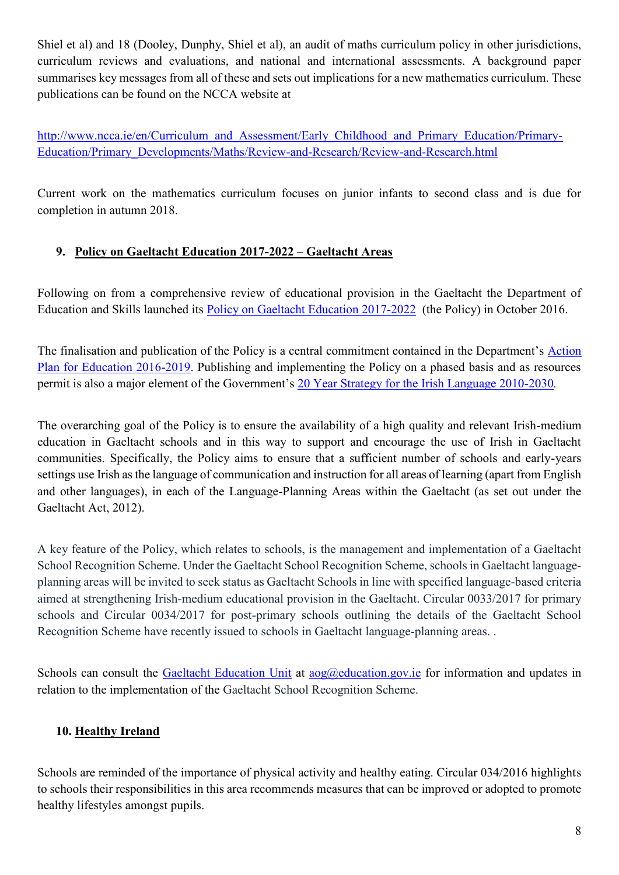Shiel et al) and 18 (Dooley, Dunphy, Shiel et al), an audit of maths curriculum policy in other jurisdictions, curriculum reviews and evaluations, and national and international assessments. A background paper summarises key messages from all of these and sets out implications for a new mathematics curriculum. These publications can be found on the NCCA website at

[http://www.ncca.ie/en/Curriculum\\_and\\_Assessment/Early\\_Childhood\\_and\\_Primary\\_Education/Primary-](http://www.ncca.ie/en/Curriculum_and_Assessment/Early_Childhood_and_Primary_Education/Primary-Education/Primary_Developments/Maths/Review-and-Research/Review-and-Research.html)[Education/Primary\\_Developments/Maths/Review-and-Research/Review-and-Research.html](http://www.ncca.ie/en/Curriculum_and_Assessment/Early_Childhood_and_Primary_Education/Primary-Education/Primary_Developments/Maths/Review-and-Research/Review-and-Research.html) 

Current work on the mathematics curriculum focuses on junior infants to second class and is due for completion in autumn 2018.

# **9. Policy on Gaeltacht Education 2017-2022 – Gaeltacht Areas**

Following on from a comprehensive review of educational provision in the Gaeltacht the Department of Education and Skills launched its [Policy on Gaeltacht Education 2017-2022](https://www.education.ie/en/Publications/Policy-Reports/Policy-on-Gaeltacht-Education-2017-2022.pdf) (the Policy) in October 2016.

The finalisation and publication of the Policy is a central commitment contained in the Department's [Action](https://www.education.ie/en/Publications/Corporate-Reports/Strategy-Statement/Department-of-Education-and-Skills-Strategy-Statement-2016-2019.pdf)  [Plan for Education 2016-2019.](https://www.education.ie/en/Publications/Corporate-Reports/Strategy-Statement/Department-of-Education-and-Skills-Strategy-Statement-2016-2019.pdf) Publishing and implementing the Policy on a phased basis and as resources permit is also a major element of the Government's [20 Year Strategy for the Irish Language 2010-2030](http://www.ahrrga.gov.ie/app/uploads/2015/07/20-Year-Strategy-English-version.pdf)*.*

The overarching goal of the Policy is to ensure the availability of a high quality and relevant Irish-medium education in Gaeltacht schools and in this way to support and encourage the use of Irish in Gaeltacht communities. Specifically, the Policy aims to ensure that a sufficient number of schools and early-years settings use Irish as the language of communication and instruction for all areas of learning (apart from English and other languages), in each of the Language-Planning Areas within the Gaeltacht (as set out under the Gaeltacht Act, 2012).

A key feature of the Policy, which relates to schools, is the management and implementation of a Gaeltacht School Recognition Scheme. Under the Gaeltacht School Recognition Scheme, schools in Gaeltacht languageplanning areas will be invited to seek status as Gaeltacht Schools in line with specified language-based criteria aimed at strengthening Irish-medium educational provision in the Gaeltacht. Circular 0033/2017 for primary schools and Circular 0034/2017 for post-primary schools outlining the details of the Gaeltacht School Recognition Scheme have recently issued to schools in Gaeltacht language-planning areas. .

Schools can consult the [Gaeltacht Education Unit](http://www.education.ie/ga/An-Roinn/Bainistíocht-Eagar/An-tAonad-um-Oideachas-Gaeltachta.html) at [aog@education.gov.ie](mailto:aog@education.gov.ie) for information and updates in relation to the implementation of the Gaeltacht School Recognition Scheme.

# **10. Healthy Ireland**

Schools are reminded of the importance of physical activity and healthy eating. Circular 034/2016 highlights to schools their responsibilities in this area recommends measures that can be improved or adopted to promote healthy lifestyles amongst pupils.